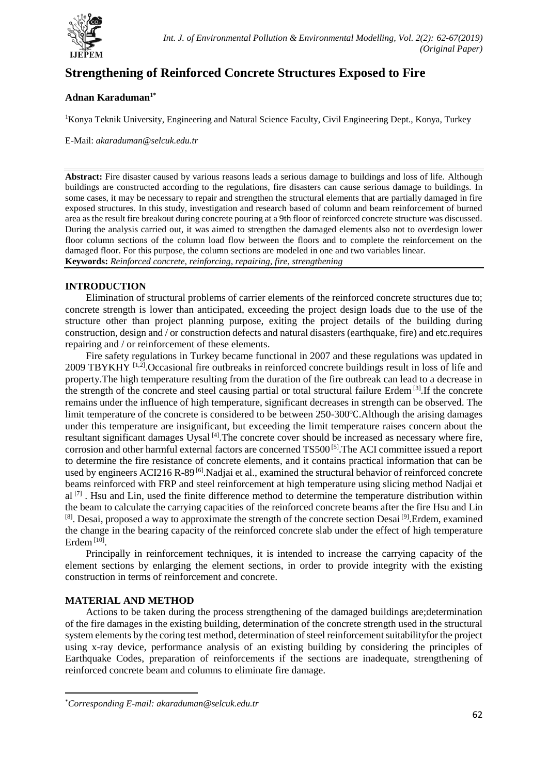

# **Strengthening of Reinforced Concrete Structures Exposed to Fire**

## **Adnan Karaduman1\***

<sup>1</sup>Konya Teknik University, Engineering and Natural Science Faculty, Civil Engineering Dept., Konya, Turkey

E-Mail: *akaraduman@selcuk.edu.tr*

**Abstract:** Fire disaster caused by various reasons leads a serious damage to buildings and loss of life. Although buildings are constructed according to the regulations, fire disasters can cause serious damage to buildings. In some cases, it may be necessary to repair and strengthen the structural elements that are partially damaged in fire exposed structures. In this study, investigation and research based of column and beam reinforcement of burned area as the result fire breakout during concrete pouring at a 9th floor of reinforced concrete structure was discussed. During the analysis carried out, it was aimed to strengthen the damaged elements also not to overdesign lower floor column sections of the column load flow between the floors and to complete the reinforcement on the damaged floor. For this purpose, the column sections are modeled in one and two variables linear. **Keywords:** *Reinforced concrete, reinforcing, repairing, fire, strengthening*

### **INTRODUCTION**

Elimination of structural problems of carrier elements of the reinforced concrete structures due to; concrete strength is lower than anticipated, exceeding the project design loads due to the use of the structure other than project planning purpose, exiting the project details of the building during construction, design and / or construction defects and natural disasters (earthquake, fire) and etc.requires repairing and / or reinforcement of these elements.

Fire safety regulations in Turkey became functional in 2007 and these regulations was updated in 2009 TBYKHY [1,2].Occasional fire outbreaks in reinforced concrete buildings result in loss of life and property.The high temperature resulting from the duration of the fire outbreak can lead to a decrease in the strength of the concrete and steel causing partial or total structural failure Erdem<sup>[3]</sup>. If the concrete remains under the influence of high temperature, significant decreases in strength can be observed. The limit temperature of the concrete is considered to be between 250-300℃.Although the arising damages under this temperature are insignificant, but exceeding the limit temperature raises concern about the resultant significant damages Uysal<sup>[4]</sup>. The concrete cover should be increased as necessary where fire, corrosion and other harmful external factors are concerned TS500<sup>[5]</sup>. The ACI committee issued a report to determine the fire resistance of concrete elements, and it contains practical information that can be used by engineers ACI216 R-89<sup>[6]</sup>. Nadjai et al., examined the structural behavior of reinforced concrete beams reinforced with FRP and steel reinforcement at high temperature using slicing method Nadjai et  $al^{[7]}$ . Hsu and Lin, used the finite difference method to determine the temperature distribution within the beam to calculate the carrying capacities of the reinforced concrete beams after the fire Hsu and Lin <sup>[8]</sup>. Desai, proposed a way to approximate the strength of the concrete section Desai<sup>[9]</sup>. Erdem, examined the change in the bearing capacity of the reinforced concrete slab under the effect of high temperature Erdem $^{[10]}$ .

Principally in reinforcement techniques, it is intended to increase the carrying capacity of the element sections by enlarging the element sections, in order to provide integrity with the existing construction in terms of reinforcement and concrete.

### **MATERIAL AND METHOD**

**.** 

Actions to be taken during the process strengthening of the damaged buildings are;determination of the fire damages in the existing building, determination of the concrete strength used in the structural system elements by the coring test method, determination of steel reinforcement suitabilityfor the project using x-ray device, performance analysis of an existing building by considering the principles of Earthquake Codes, preparation of reinforcements if the sections are inadequate, strengthening of reinforced concrete beam and columns to eliminate fire damage.

<sup>\*</sup>*Corresponding E-mail: akaraduman@selcuk.edu.tr*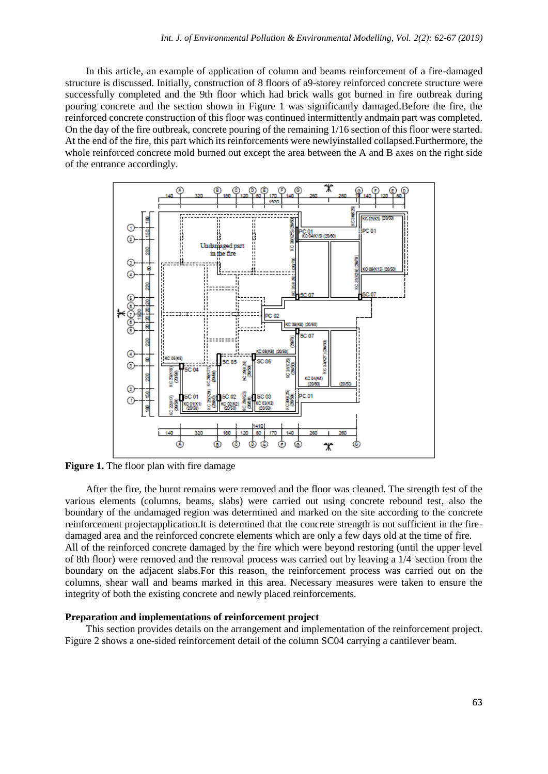In this article, an example of application of column and beams reinforcement of a fire-damaged structure is discussed. Initially, construction of 8 floors of a9-storey reinforced concrete structure were successfully completed and the 9th floor which had brick walls got burned in fire outbreak during pouring concrete and the section shown in Figure 1 was significantly damaged.Before the fire, the reinforced concrete construction of this floor was continued intermittently andmain part was completed. On the day of the fire outbreak, concrete pouring of the remaining 1/16 section of this floor were started. At the end of the fire, this part which its reinforcements were newlyinstalled collapsed.Furthermore, the whole reinforced concrete mold burned out except the area between the A and B axes on the right side of the entrance accordingly.



**Figure 1.** The floor plan with fire damage

After the fire, the burnt remains were removed and the floor was cleaned. The strength test of the various elements (columns, beams, slabs) were carried out using concrete rebound test, also the boundary of the undamaged region was determined and marked on the site according to the concrete reinforcement projectapplication.It is determined that the concrete strength is not sufficient in the firedamaged area and the reinforced concrete elements which are only a few days old at the time of fire. All of the reinforced concrete damaged by the fire which were beyond restoring (until the upper level of 8th floor) were removed and the removal process was carried out by leaving a 1/4 'section from the boundary on the adjacent slabs.For this reason, the reinforcement process was carried out on the columns, shear wall and beams marked in this area. Necessary measures were taken to ensure the integrity of both the existing concrete and newly placed reinforcements.

#### **Preparation and implementations of reinforcement project**

This section provides details on the arrangement and implementation of the reinforcement project. Figure 2 shows a one-sided reinforcement detail of the column SC04 carrying a cantilever beam.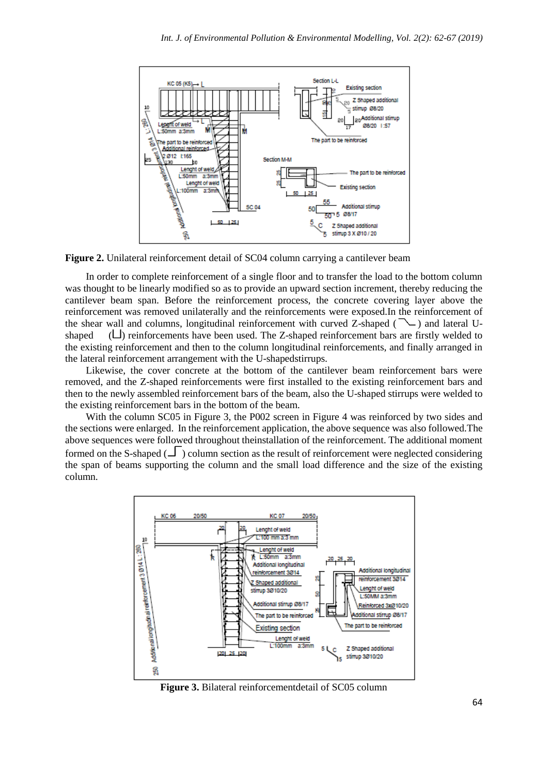

**Figure 2.** Unilateral reinforcement detail of SC04 column carrying a cantilever beam

In order to complete reinforcement of a single floor and to transfer the load to the bottom column was thought to be linearly modified so as to provide an upward section increment, thereby reducing the cantilever beam span. Before the reinforcement process, the concrete covering layer above the reinforcement was removed unilaterally and the reinforcements were exposed.In the reinforcement of the shear wall and columns, longitudinal reinforcement with curved Z-shaped  $(\sim)$  and lateral Ushaped  $(\Box)$  reinforcements have been used. The Z-shaped reinforcement bars are firstly welded to the existing reinforcement and then to the column longitudinal reinforcements, and finally arranged in the lateral reinforcement arrangement with the U-shapedstirrups.

Likewise, the cover concrete at the bottom of the cantilever beam reinforcement bars were removed, and the Z-shaped reinforcements were first installed to the existing reinforcement bars and then to the newly assembled reinforcement bars of the beam, also the U-shaped stirrups were welded to the existing reinforcement bars in the bottom of the beam.

With the column SC05 in Figure 3, the P002 screen in Figure 4 was reinforced by two sides and the sections were enlarged. In the reinforcement application, the above sequence was also followed.The above sequences were followed throughout theinstallation of the reinforcement. The additional moment formed on the S-shaped  $($  $\Box$ ) column section as the result of reinforcement were neglected considering the span of beams supporting the column and the small load difference and the size of the existing column.



**Figure 3.** Bilateral reinforcementdetail of SC05 column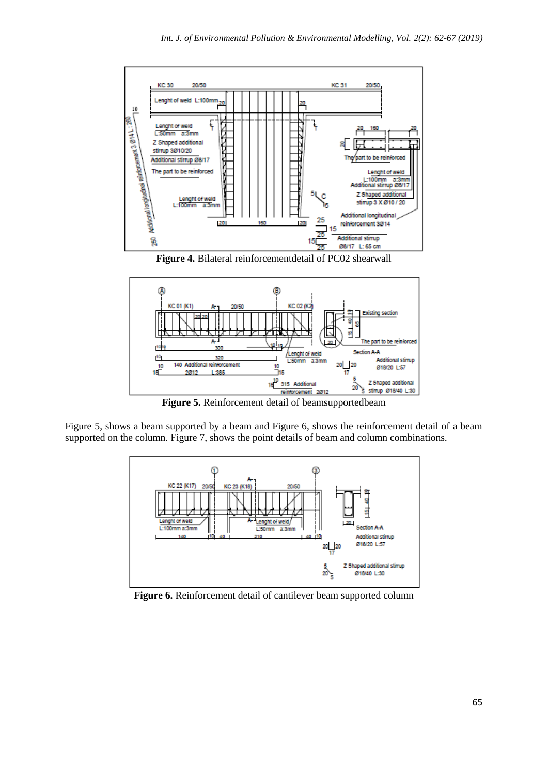

**Figure 4.** Bilateral reinforcementdetail of PC02 shearwall



**Figure 5.** Reinforcement detail of beamsupportedbeam

Figure 5, shows a beam supported by a beam and Figure 6, shows the reinforcement detail of a beam supported on the column. Figure 7, shows the point details of beam and column combinations.



**Figure 6.** Reinforcement detail of cantilever beam supported column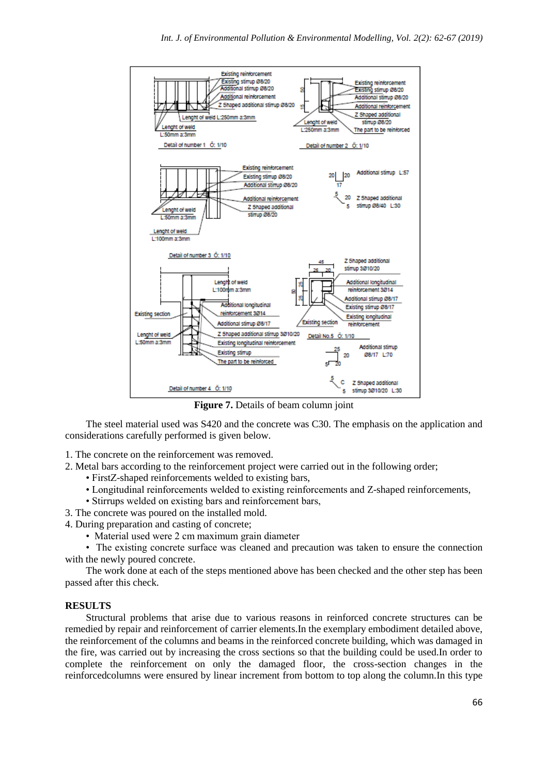

**Figure 7.** Details of beam column joint

The steel material used was S420 and the concrete was C30. The emphasis on the application and considerations carefully performed is given below.

1. The concrete on the reinforcement was removed.

- 2. Metal bars according to the reinforcement project were carried out in the following order;
	- FirstZ-shaped reinforcements welded to existing bars,
	- Longitudinal reinforcements welded to existing reinforcements and Z-shaped reinforcements,
	- Stirrups welded on existing bars and reinforcement bars,
- 3. The concrete was poured on the installed mold.
- 4. During preparation and casting of concrete;
	- Material used were 2 cm maximum grain diameter

• The existing concrete surface was cleaned and precaution was taken to ensure the connection with the newly poured concrete.

The work done at each of the steps mentioned above has been checked and the other step has been passed after this check.

### **RESULTS**

Structural problems that arise due to various reasons in reinforced concrete structures can be remedied by repair and reinforcement of carrier elements.In the exemplary embodiment detailed above, the reinforcement of the columns and beams in the reinforced concrete building, which was damaged in the fire, was carried out by increasing the cross sections so that the building could be used.In order to complete the reinforcement on only the damaged floor, the cross-section changes in the reinforcedcolumns were ensured by linear increment from bottom to top along the column.In this type